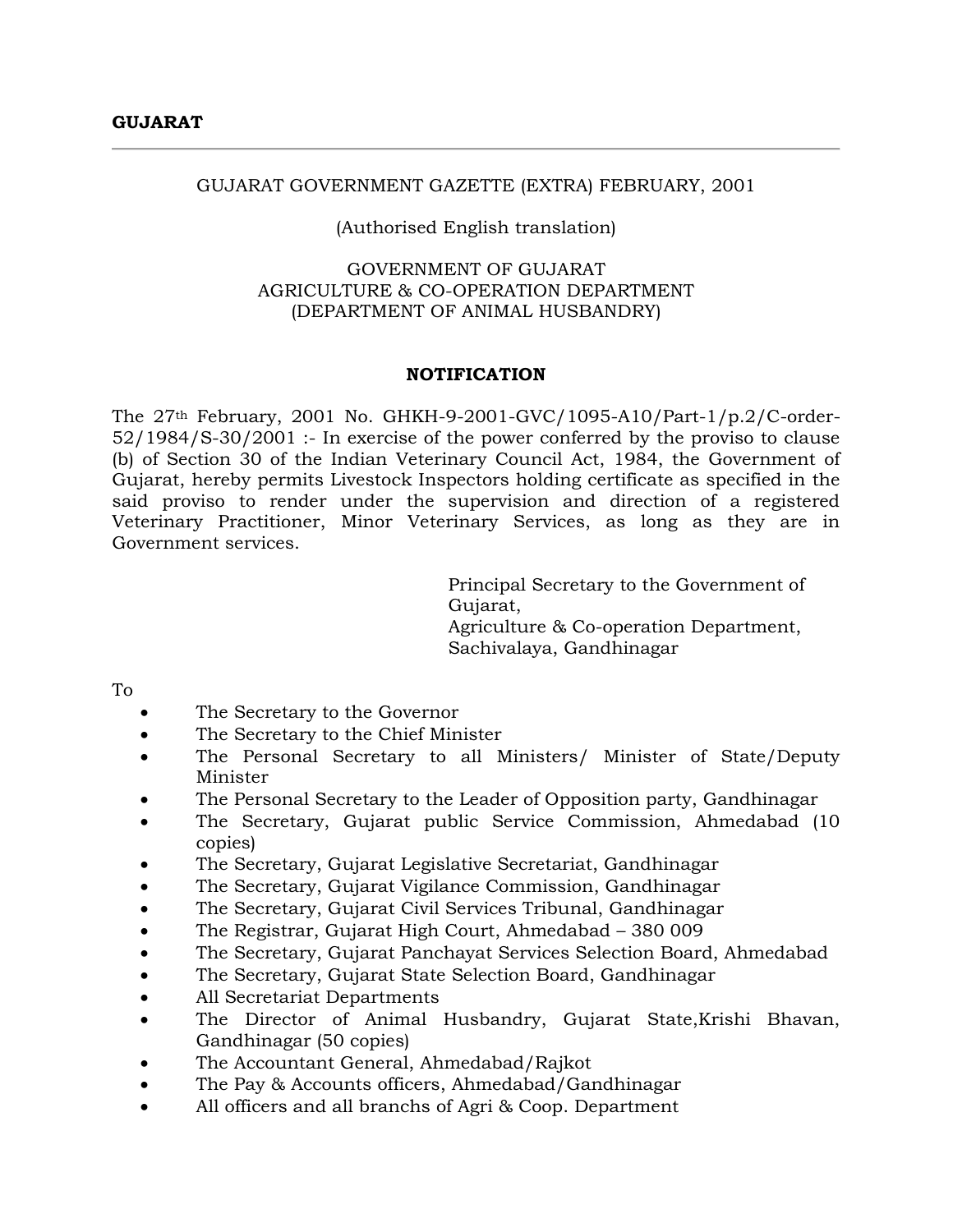#### GUJARAT GOVERNMENT GAZETTE (EXTRA) FEBRUARY, 2001

## (Authorised English translation)

# GOVERNMENT OF GUJARAT AGRICULTURE & CO-OPERATION DEPARTMENT (DEPARTMENT OF ANIMAL HUSBANDRY)

#### **NOTIFICATION**

The 27th February, 2001 No. GHKH-9-2001-GVC/1095-A10/Part-1/p.2/C-order-52/1984/S-30/2001 :- In exercise of the power conferred by the proviso to clause (b) of Section 30 of the Indian Veterinary Council Act, 1984, the Government of Gujarat, hereby permits Livestock Inspectors holding certificate as specified in the said proviso to render under the supervision and direction of a registered Veterinary Practitioner, Minor Veterinary Services, as long as they are in Government services.

> Principal Secretary to the Government of Gujarat, Agriculture & Co-operation Department, Sachivalaya, Gandhinagar

To

- The Secretary to the Governor
- The Secretary to the Chief Minister
- The Personal Secretary to all Ministers/ Minister of State/Deputy Minister
- The Personal Secretary to the Leader of Opposition party, Gandhinagar
- The Secretary, Gujarat public Service Commission, Ahmedabad (10 copies)
- The Secretary, Gujarat Legislative Secretariat, Gandhinagar
- The Secretary, Gujarat Vigilance Commission, Gandhinagar
- The Secretary, Gujarat Civil Services Tribunal, Gandhinagar
- The Registrar, Gujarat High Court, Ahmedabad 380 009
- The Secretary, Gujarat Panchayat Services Selection Board, Ahmedabad
- The Secretary, Gujarat State Selection Board, Gandhinagar
- All Secretariat Departments
- The Director of Animal Husbandry, Gujarat State,Krishi Bhavan, Gandhinagar (50 copies)
- The Accountant General, Ahmedabad/Rajkot
- The Pay & Accounts officers, Ahmedabad/Gandhinagar
- All officers and all branchs of Agri & Coop. Department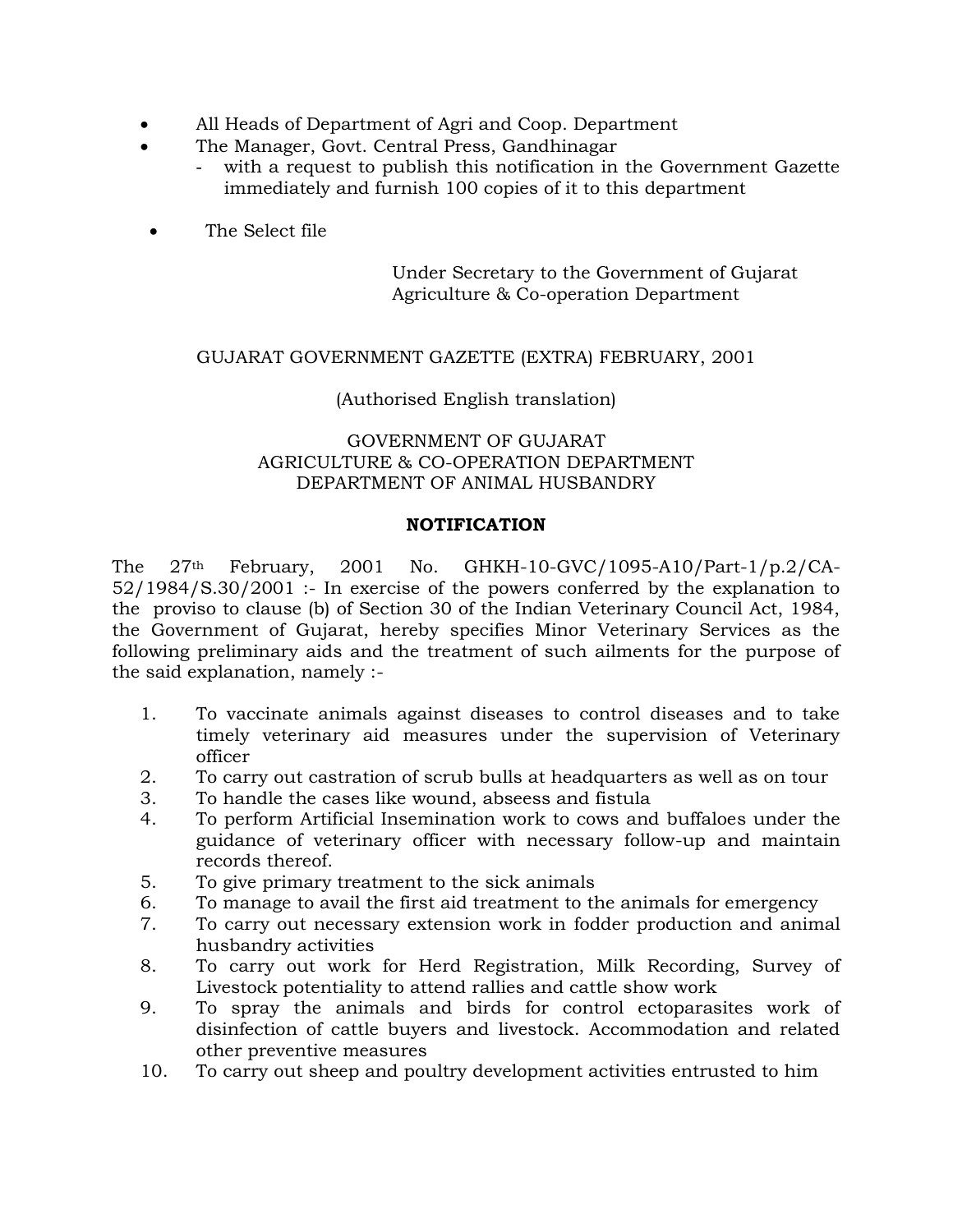- All Heads of Department of Agri and Coop. Department
- The Manager, Govt. Central Press, Gandhinagar
	- with a request to publish this notification in the Government Gazette immediately and furnish 100 copies of it to this department
- The Select file

Under Secretary to the Government of Gujarat Agriculture & Co-operation Department

## GUJARAT GOVERNMENT GAZETTE (EXTRA) FEBRUARY, 2001

#### (Authorised English translation)

## GOVERNMENT OF GUJARAT AGRICULTURE & CO-OPERATION DEPARTMENT DEPARTMENT OF ANIMAL HUSBANDRY

#### **NOTIFICATION**

The 27th February, 2001 No. GHKH-10-GVC/1095-A10/Part-1/p.2/CA-52/1984/S.30/2001 :- In exercise of the powers conferred by the explanation to the proviso to clause (b) of Section 30 of the Indian Veterinary Council Act, 1984, the Government of Gujarat, hereby specifies Minor Veterinary Services as the following preliminary aids and the treatment of such ailments for the purpose of the said explanation, namely :-

- 1. To vaccinate animals against diseases to control diseases and to take timely veterinary aid measures under the supervision of Veterinary officer
- 2. To carry out castration of scrub bulls at headquarters as well as on tour
- 3. To handle the cases like wound, abseess and fistula
- 4. To perform Artificial Insemination work to cows and buffaloes under the guidance of veterinary officer with necessary follow-up and maintain records thereof.
- 5. To give primary treatment to the sick animals
- 6. To manage to avail the first aid treatment to the animals for emergency
- 7. To carry out necessary extension work in fodder production and animal husbandry activities
- 8. To carry out work for Herd Registration, Milk Recording, Survey of Livestock potentiality to attend rallies and cattle show work
- 9. To spray the animals and birds for control ectoparasites work of disinfection of cattle buyers and livestock. Accommodation and related other preventive measures
- 10. To carry out sheep and poultry development activities entrusted to him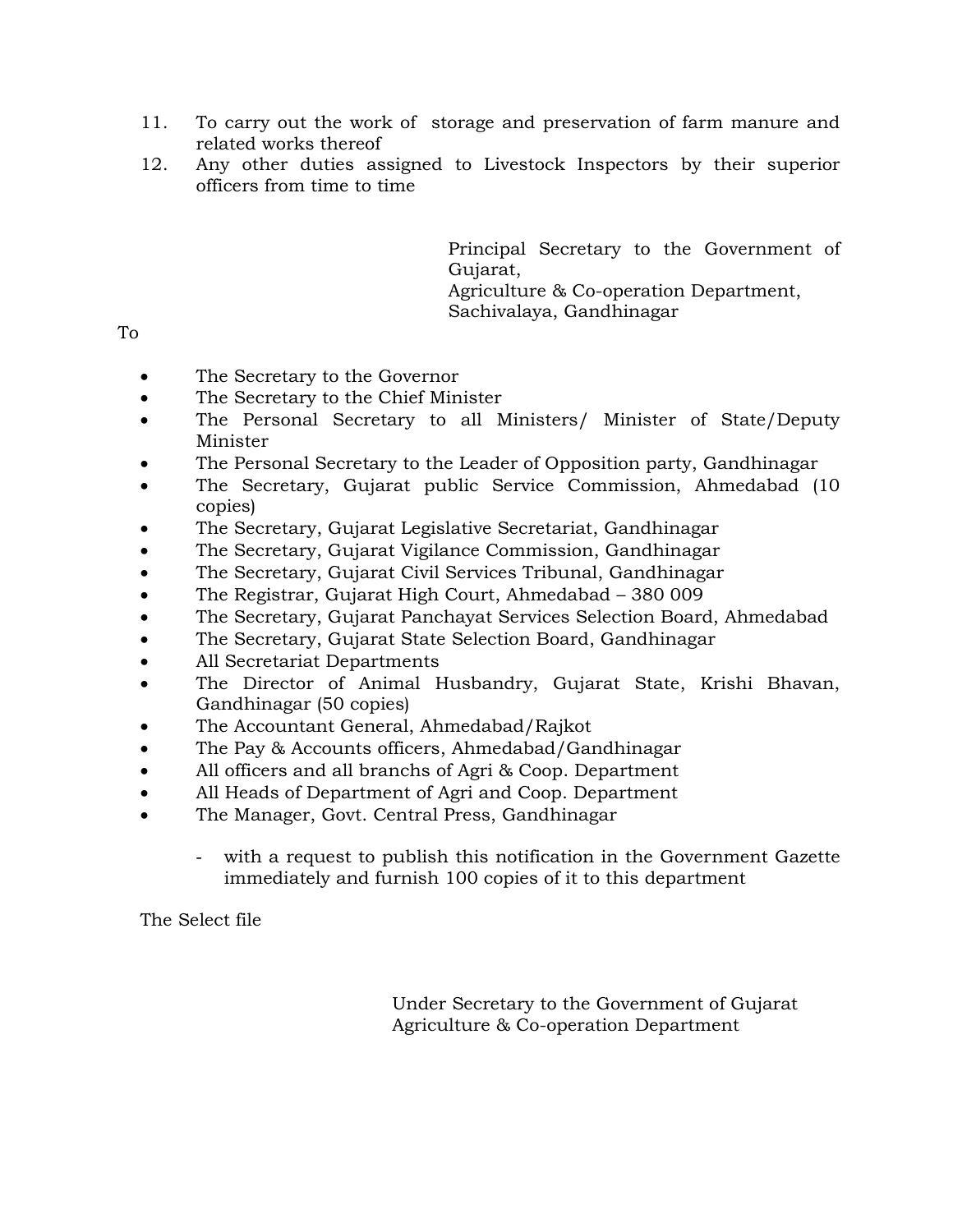- 11. To carry out the work of storage and preservation of farm manure and related works thereof
- 12. Any other duties assigned to Livestock Inspectors by their superior officers from time to time

Principal Secretary to the Government of Gujarat, Agriculture & Co-operation Department, Sachivalaya, Gandhinagar

To

- The Secretary to the Governor
- The Secretary to the Chief Minister
- The Personal Secretary to all Ministers/ Minister of State/Deputy Minister
- The Personal Secretary to the Leader of Opposition party, Gandhinagar
- The Secretary, Gujarat public Service Commission, Ahmedabad (10 copies)
- The Secretary, Gujarat Legislative Secretariat, Gandhinagar
- The Secretary, Gujarat Vigilance Commission, Gandhinagar
- The Secretary, Gujarat Civil Services Tribunal, Gandhinagar
- The Registrar, Gujarat High Court, Ahmedabad 380 009
- The Secretary, Gujarat Panchayat Services Selection Board, Ahmedabad
- The Secretary, Gujarat State Selection Board, Gandhinagar
- All Secretariat Departments
- The Director of Animal Husbandry, Gujarat State, Krishi Bhavan, Gandhinagar (50 copies)
- The Accountant General, Ahmedabad/Rajkot
- The Pay & Accounts officers, Ahmedabad/Gandhinagar
- All officers and all branchs of Agri & Coop. Department
- All Heads of Department of Agri and Coop. Department
- The Manager, Govt. Central Press, Gandhinagar
	- with a request to publish this notification in the Government Gazette immediately and furnish 100 copies of it to this department

The Select file

Under Secretary to the Government of Gujarat Agriculture & Co-operation Department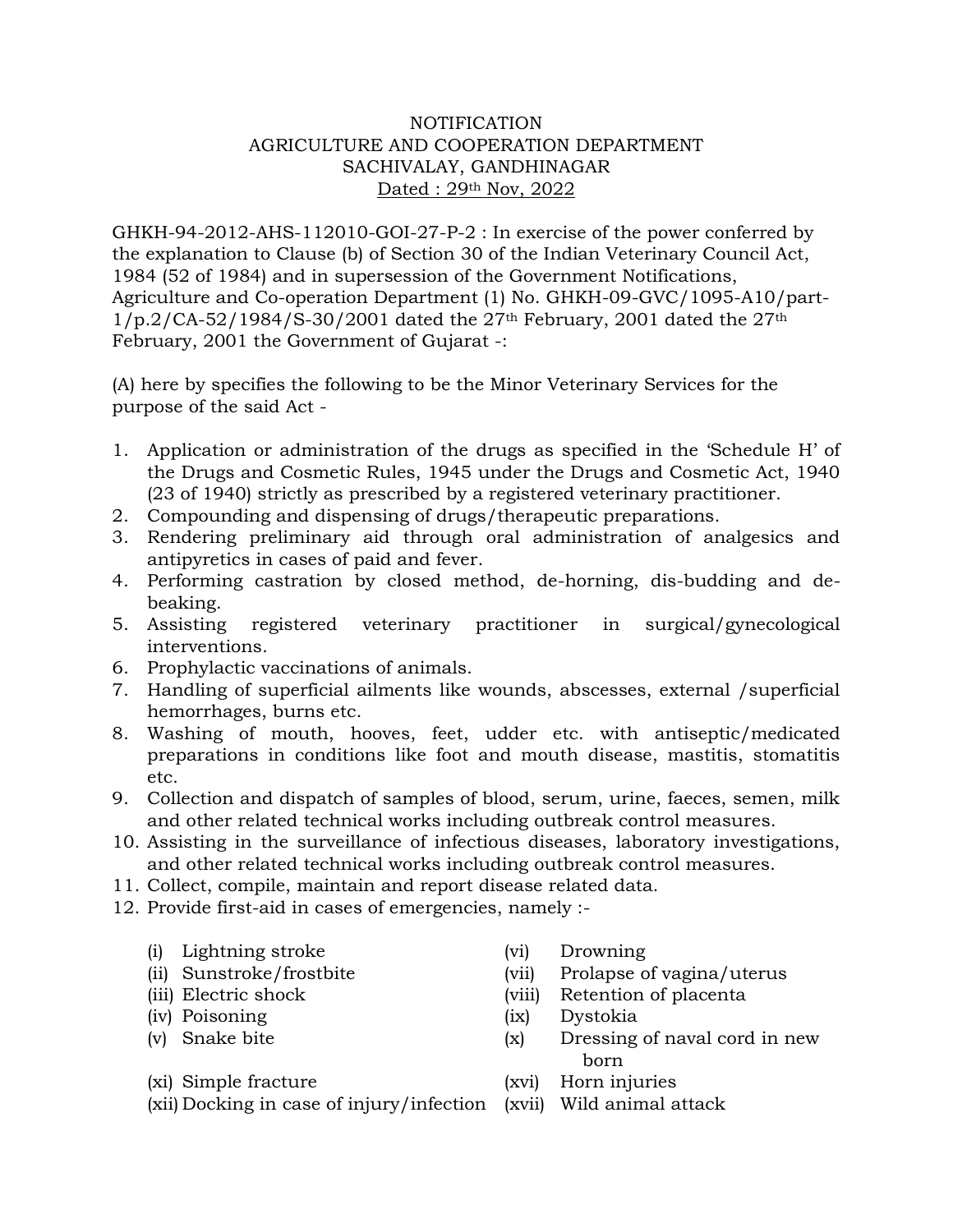# NOTIFICATION AGRICULTURE AND COOPERATION DEPARTMENT SACHIVALAY, GANDHINAGAR Dated : 29th Nov, 2022

GHKH-94-2012-AHS-112010-GOI-27-P-2 : In exercise of the power conferred by the explanation to Clause (b) of Section 30 of the Indian Veterinary Council Act, 1984 (52 of 1984) and in supersession of the Government Notifications, Agriculture and Co-operation Department (1) No. GHKH-09-GVC/1095-A10/part- $1/p.2/CA-52/1984/S-30/2001$  dated the  $27<sup>th</sup>$  February, 2001 dated the  $27<sup>th</sup>$ February, 2001 the Government of Gujarat -:

(A) here by specifies the following to be the Minor Veterinary Services for the purpose of the said Act -

- 1. Application or administration of the drugs as specified in the 'Schedule H' of the Drugs and Cosmetic Rules, 1945 under the Drugs and Cosmetic Act, 1940 (23 of 1940) strictly as prescribed by a registered veterinary practitioner.
- 2. Compounding and dispensing of drugs/therapeutic preparations.
- 3. Rendering preliminary aid through oral administration of analgesics and antipyretics in cases of paid and fever.
- 4. Performing castration by closed method, de-horning, dis-budding and debeaking.
- 5. Assisting registered veterinary practitioner in surgical/gynecological interventions.
- 6. Prophylactic vaccinations of animals.
- 7. Handling of superficial ailments like wounds, abscesses, external /superficial hemorrhages, burns etc.
- 8. Washing of mouth, hooves, feet, udder etc. with antiseptic/medicated preparations in conditions like foot and mouth disease, mastitis, stomatitis etc.
- 9. Collection and dispatch of samples of blood, serum, urine, faeces, semen, milk and other related technical works including outbreak control measures.
- 10. Assisting in the surveillance of infectious diseases, laboratory investigations, and other related technical works including outbreak control measures.
- 11. Collect, compile, maintain and report disease related data.
- 12. Provide first-aid in cases of emergencies, namely :-
	- (i) Lightning stroke (vi) Drowning
	-
	-
	-
	-
- 
- (ii) Sunstroke/frostbite (vii) Prolapse of vagina/uterus
- (iii) Electric shock (viii) Retention of placenta
- (iv) Poisoning (ix) Dystokia
- (v) Snake bite (x) Dressing of naval cord in new born and the contract of the contract of the contract of the contract of the contract of the contract of the c
- (xi) Simple fracture (xvi) Horn injuries
- (xii) Docking in case of injury/infection (xvii) Wild animal attack
- -